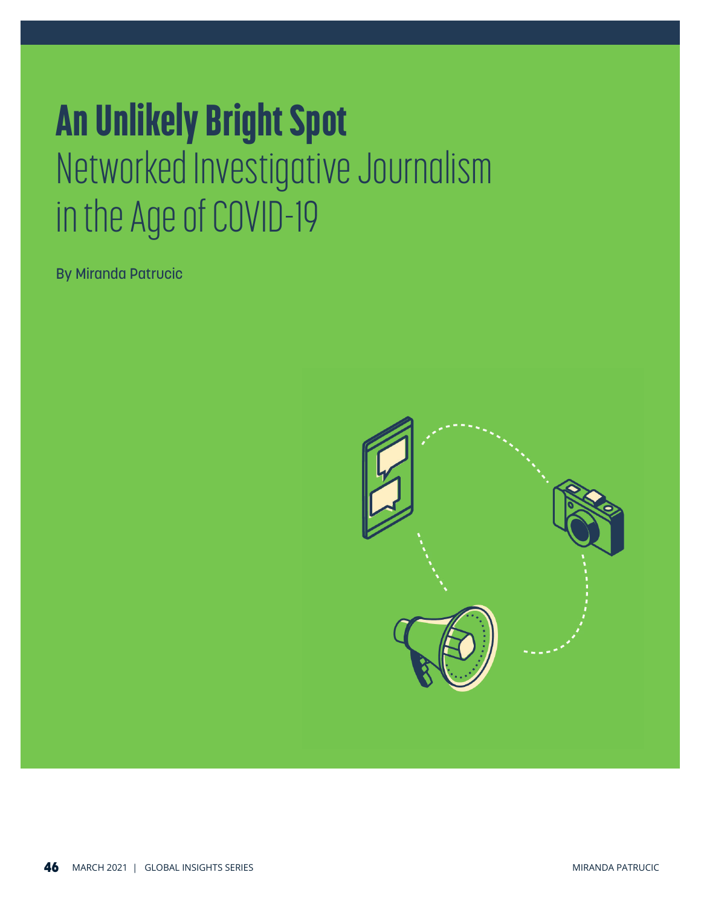## An Unlikely Bright Spot Networked Investigative Journalism in the Age of COVID-19

By Miranda Patrucic

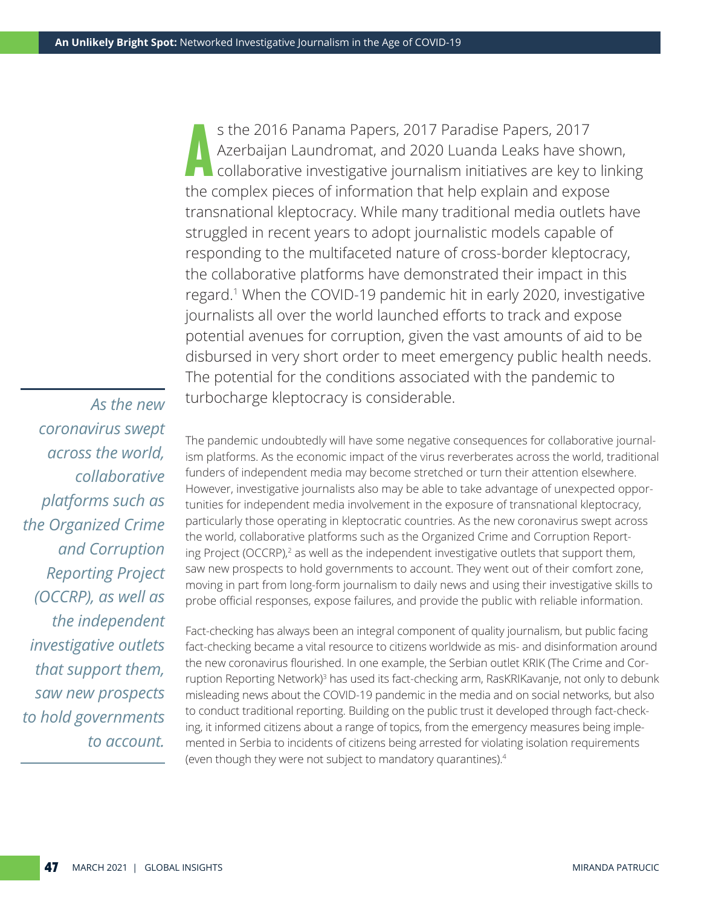A s the 2016 Panama Papers, 2017 Paradise Papers, 2017 Azerbaijan Laundromat, and 2020 Luanda Leaks have shown, collaborative investigative journalism initiatives are key to linking the complex pieces of information that help explain and expose transnational kleptocracy. While many traditional media outlets have struggled in recent years to adopt journalistic models capable of responding to the multifaceted nature of cross-border kleptocracy, the collaborative platforms have demonstrated their impact in this regard.1 When the COVID-19 pandemic hit in early 2020, investigative journalists all over the world launched efforts to track and expose potential avenues for corruption, given the vast amounts of aid to be disbursed in very short order to meet emergency public health needs. The potential for the conditions associated with the pandemic to turbocharge kleptocracy is considerable.

*As the new coronavirus swept across the world, collaborative platforms such as the Organized Crime and Corruption Reporting Project (OCCRP), as well as the independent investigative outlets that support them, saw new prospects to hold governments to account.*

The pandemic undoubtedly will have some negative consequences for collaborative journalism platforms. As the economic impact of the virus reverberates across the world, traditional funders of independent media may become stretched or turn their attention elsewhere. However, investigative journalists also may be able to take advantage of unexpected opportunities for independent media involvement in the exposure of transnational kleptocracy, particularly those operating in kleptocratic countries. As the new coronavirus swept across the world, collaborative platforms such as the Organized Crime and Corruption Reporting Project (OCCRP),<sup>2</sup> as well as the independent investigative outlets that support them, saw new prospects to hold governments to account. They went out of their comfort zone, moving in part from long-form journalism to daily news and using their investigative skills to probe official responses, expose failures, and provide the public with reliable information.

Fact-checking has always been an integral component of quality journalism, but public facing fact-checking became a vital resource to citizens worldwide as mis- and disinformation around the new coronavirus flourished. In one example, the Serbian outlet KRIK (The Crime and Corruption Reporting Network)<sup>3</sup> has used its fact-checking arm, RasKRIKavanje, not only to debunk misleading news about the COVID-19 pandemic in the media and on social networks, but also to conduct traditional reporting. Building on the public trust it developed through fact-checking, it informed citizens about a range of topics, from the emergency measures being implemented in Serbia to incidents of citizens being arrested for violating isolation requirements (even though they were not subject to mandatory quarantines).4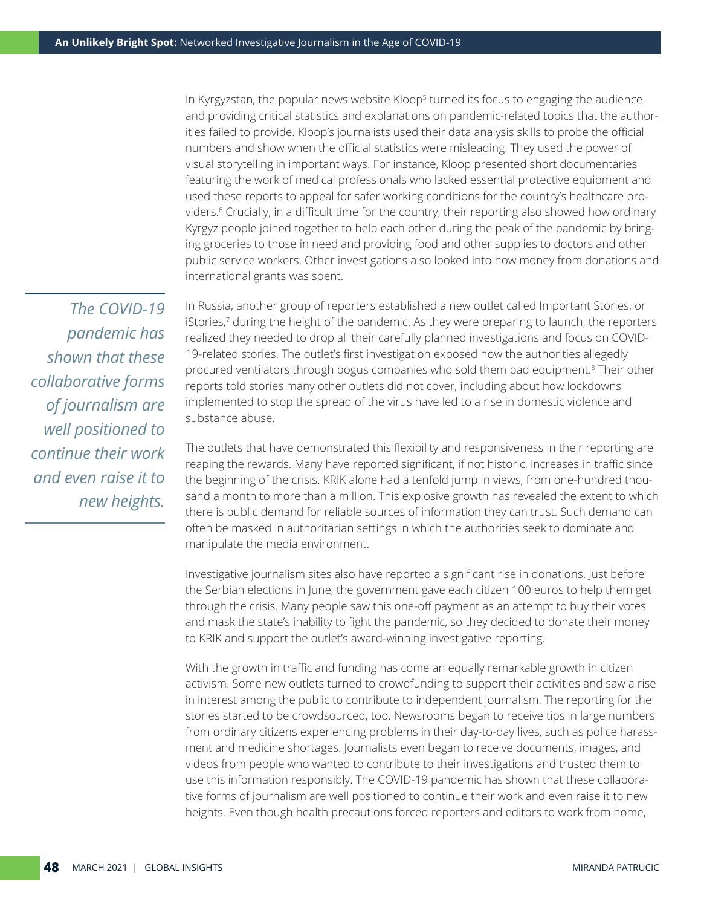In Kyrgyzstan, the popular news website Kloop<sup>5</sup> turned its focus to engaging the audience and providing critical statistics and explanations on pandemic-related topics that the authorities failed to provide. Kloop's journalists used their data analysis skills to probe the official numbers and show when the official statistics were misleading. They used the power of visual storytelling in important ways. For instance, Kloop presented short documentaries featuring the work of medical professionals who lacked essential protective equipment and used these reports to appeal for safer working conditions for the country's healthcare providers.6 Crucially, in a difficult time for the country, their reporting also showed how ordinary Kyrgyz people joined together to help each other during the peak of the pandemic by bringing groceries to those in need and providing food and other supplies to doctors and other public service workers. Other investigations also looked into how money from donations and international grants was spent.

*The COVID-19 pandemic has shown that these collaborative forms of journalism are well positioned to continue their work and even raise it to new heights.*

In Russia, another group of reporters established a new outlet called Important Stories, or iStories,7 during the height of the pandemic. As they were preparing to launch, the reporters realized they needed to drop all their carefully planned investigations and focus on COVID-19-related stories. The outlet's first investigation exposed how the authorities allegedly procured ventilators through bogus companies who sold them bad equipment.<sup>8</sup> Their other reports told stories many other outlets did not cover, including about how lockdowns implemented to stop the spread of the virus have led to a rise in domestic violence and substance abuse.

The outlets that have demonstrated this flexibility and responsiveness in their reporting are reaping the rewards. Many have reported significant, if not historic, increases in traffic since the beginning of the crisis. KRIK alone had a tenfold jump in views, from one-hundred thousand a month to more than a million. This explosive growth has revealed the extent to which there is public demand for reliable sources of information they can trust. Such demand can often be masked in authoritarian settings in which the authorities seek to dominate and manipulate the media environment.

Investigative journalism sites also have reported a significant rise in donations. Just before the Serbian elections in June, the government gave each citizen 100 euros to help them get through the crisis. Many people saw this one-off payment as an attempt to buy their votes and mask the state's inability to fight the pandemic, so they decided to donate their money to KRIK and support the outlet's award-winning investigative reporting.

With the growth in traffic and funding has come an equally remarkable growth in citizen activism. Some new outlets turned to crowdfunding to support their activities and saw a rise in interest among the public to contribute to independent journalism. The reporting for the stories started to be crowdsourced, too. Newsrooms began to receive tips in large numbers from ordinary citizens experiencing problems in their day-to-day lives, such as police harassment and medicine shortages. Journalists even began to receive documents, images, and videos from people who wanted to contribute to their investigations and trusted them to use this information responsibly. The COVID-19 pandemic has shown that these collaborative forms of journalism are well positioned to continue their work and even raise it to new heights. Even though health precautions forced reporters and editors to work from home,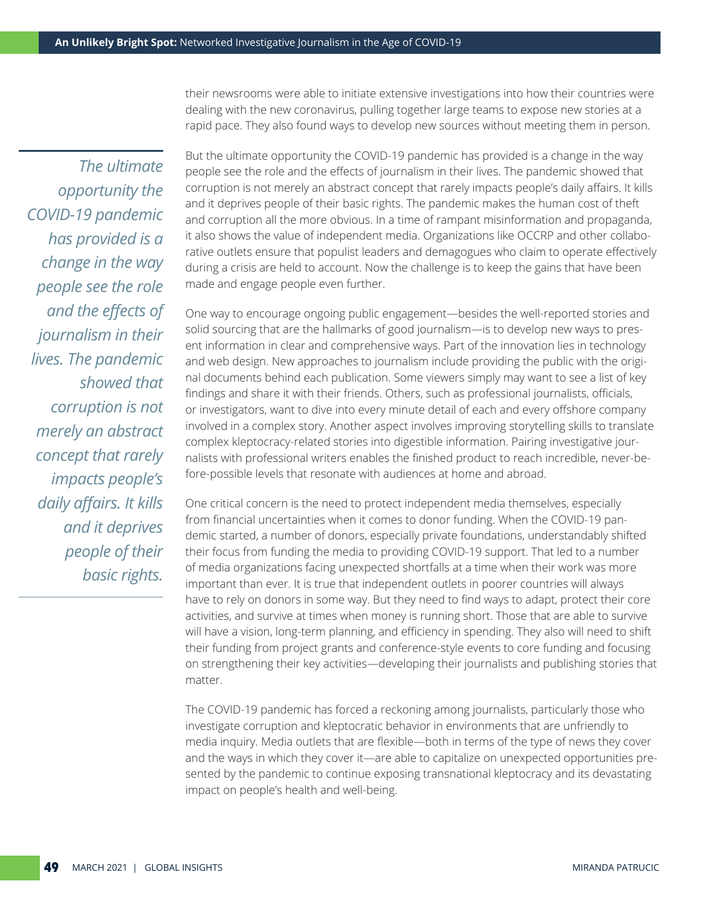their newsrooms were able to initiate extensive investigations into how their countries were dealing with the new coronavirus, pulling together large teams to expose new stories at a rapid pace. They also found ways to develop new sources without meeting them in person.

*The ultimate opportunity the COVID-19 pandemic has provided is a change in the way people see the role and the effects of journalism in their lives. The pandemic showed that corruption is not merely an abstract concept that rarely impacts people's daily affairs. It kills and it deprives people of their basic rights.*

But the ultimate opportunity the COVID-19 pandemic has provided is a change in the way people see the role and the effects of journalism in their lives. The pandemic showed that corruption is not merely an abstract concept that rarely impacts people's daily affairs. It kills and it deprives people of their basic rights. The pandemic makes the human cost of theft and corruption all the more obvious. In a time of rampant misinformation and propaganda, it also shows the value of independent media. Organizations like OCCRP and other collaborative outlets ensure that populist leaders and demagogues who claim to operate effectively during a crisis are held to account. Now the challenge is to keep the gains that have been made and engage people even further.

One way to encourage ongoing public engagement—besides the well-reported stories and solid sourcing that are the hallmarks of good journalism—is to develop new ways to present information in clear and comprehensive ways. Part of the innovation lies in technology and web design. New approaches to journalism include providing the public with the original documents behind each publication. Some viewers simply may want to see a list of key findings and share it with their friends. Others, such as professional journalists, officials, or investigators, want to dive into every minute detail of each and every offshore company involved in a complex story. Another aspect involves improving storytelling skills to translate complex kleptocracy-related stories into digestible information. Pairing investigative journalists with professional writers enables the finished product to reach incredible, never-before-possible levels that resonate with audiences at home and abroad.

One critical concern is the need to protect independent media themselves, especially from financial uncertainties when it comes to donor funding. When the COVID-19 pandemic started, a number of donors, especially private foundations, understandably shifted their focus from funding the media to providing COVID-19 support. That led to a number of media organizations facing unexpected shortfalls at a time when their work was more important than ever. It is true that independent outlets in poorer countries will always have to rely on donors in some way. But they need to find ways to adapt, protect their core activities, and survive at times when money is running short. Those that are able to survive will have a vision, long-term planning, and efficiency in spending. They also will need to shift their funding from project grants and conference-style events to core funding and focusing on strengthening their key activities—developing their journalists and publishing stories that matter.

The COVID-19 pandemic has forced a reckoning among journalists, particularly those who investigate corruption and kleptocratic behavior in environments that are unfriendly to media inquiry. Media outlets that are flexible—both in terms of the type of news they cover and the ways in which they cover it—are able to capitalize on unexpected opportunities presented by the pandemic to continue exposing transnational kleptocracy and its devastating impact on people's health and well-being.